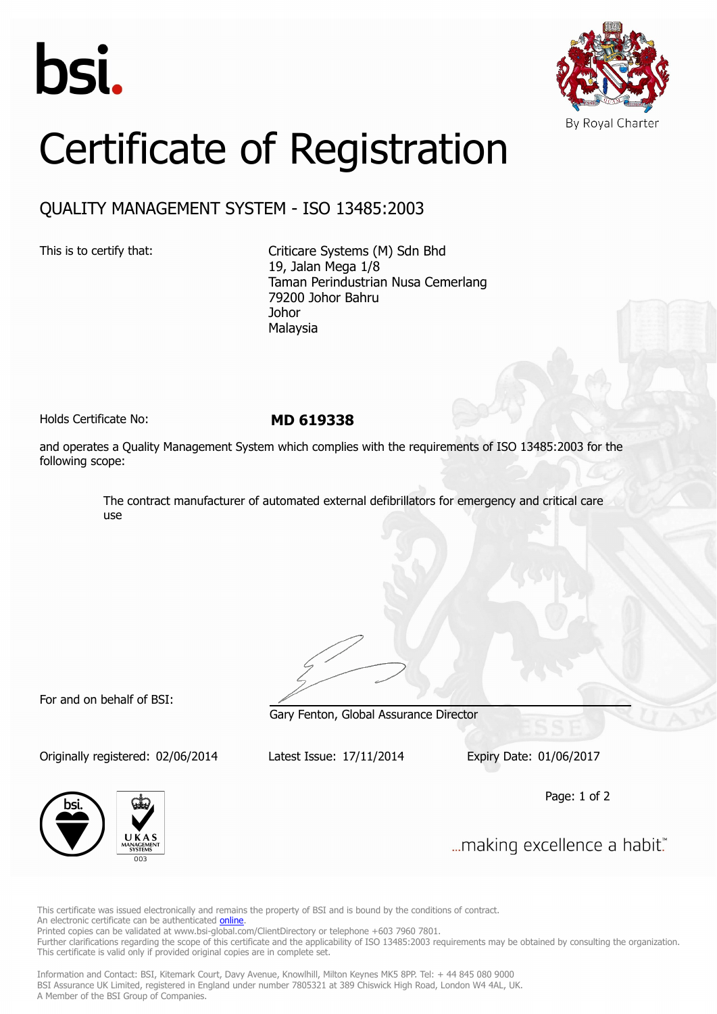



## Certificate of Registration

## QUALITY MANAGEMENT SYSTEM - ISO 13485:2003

This is to certify that: Criticare Systems (M) Sdn Bhd 19, Jalan Mega 1/8 Taman Perindustrian Nusa Cemerlang 79200 Johor Bahru Johor Malaysia

Holds Certificate No: **MD 619338**

and operates a Quality Management System which complies with the requirements of ISO 13485:2003 for the following scope:

> The contract manufacturer of automated external defibrillators for emergency and critical care use

For and on behalf of BSI:

Originally registered: 02/06/2014 Latest Issue: 17/11/2014 Expiry Date: 01/06/2017

Gary Fenton, Global Assurance Director

Page: 1 of 2



... making excellence a habit."

This certificate was issued electronically and remains the property of BSI and is bound by the conditions of contract. An electronic certificate can be authenticated **[online](https://pgplus.bsigroup.com/CertificateValidation/CertificateValidator.aspx?CertificateNumber=MD+619338&ReIssueDate=17%2f11%2f2014&Template=malaysia_en)** 

Printed copies can be validated at www.bsi-global.com/ClientDirectory or telephone +603 7960 7801.

Further clarifications regarding the scope of this certificate and the applicability of ISO 13485:2003 requirements may be obtained by consulting the organization. This certificate is valid only if provided original copies are in complete set.

Information and Contact: BSI, Kitemark Court, Davy Avenue, Knowlhill, Milton Keynes MK5 8PP. Tel: + 44 845 080 9000 BSI Assurance UK Limited, registered in England under number 7805321 at 389 Chiswick High Road, London W4 4AL, UK. A Member of the BSI Group of Companies.